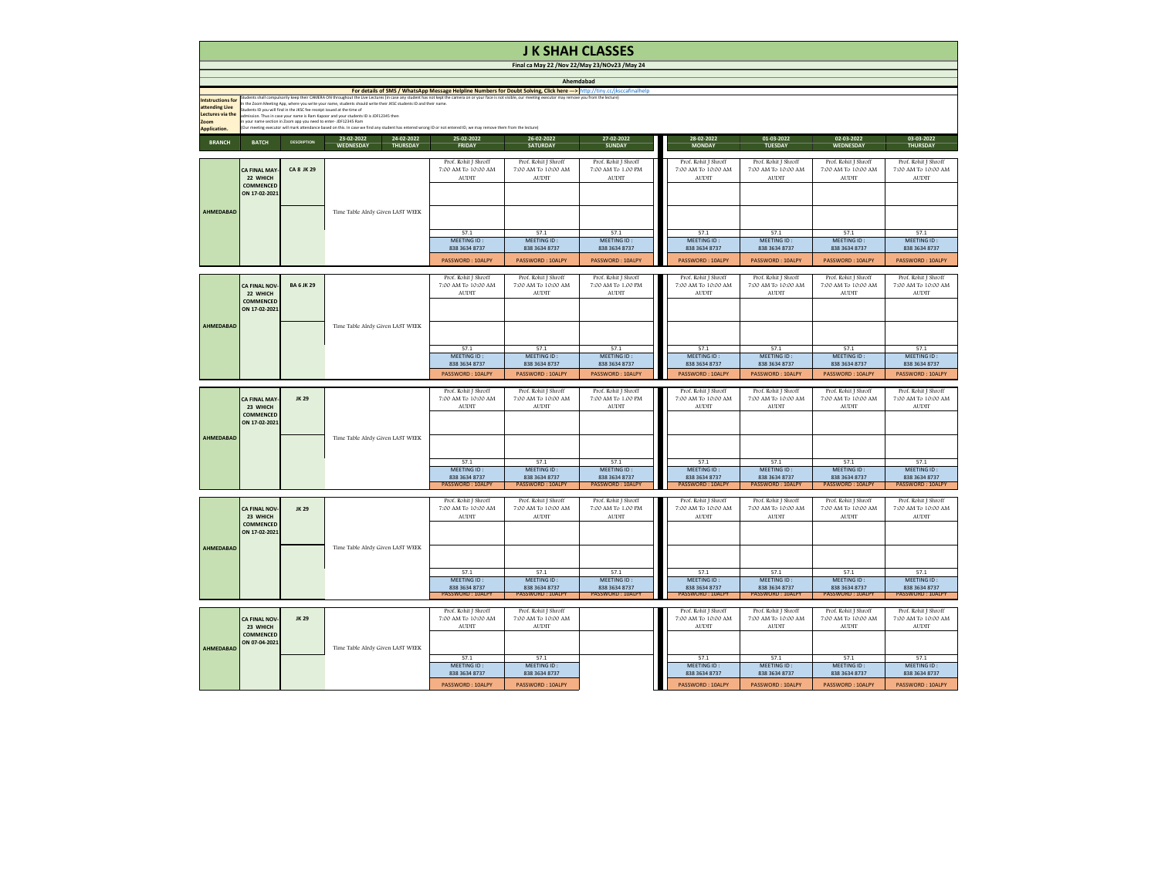|                                                                                                             | <b>J K SHAH CLASSES</b>                                                                                                                                                                                                                                                                                                                                                                                                                                                                                                                                                                                                                                                                                                                                                                                                                                                                     |                    |                                                                 |                                                                        |                                                                 |                                                                 |  |  |  |
|-------------------------------------------------------------------------------------------------------------|---------------------------------------------------------------------------------------------------------------------------------------------------------------------------------------------------------------------------------------------------------------------------------------------------------------------------------------------------------------------------------------------------------------------------------------------------------------------------------------------------------------------------------------------------------------------------------------------------------------------------------------------------------------------------------------------------------------------------------------------------------------------------------------------------------------------------------------------------------------------------------------------|--------------------|-----------------------------------------------------------------|------------------------------------------------------------------------|-----------------------------------------------------------------|-----------------------------------------------------------------|--|--|--|
|                                                                                                             |                                                                                                                                                                                                                                                                                                                                                                                                                                                                                                                                                                                                                                                                                                                                                                                                                                                                                             |                    |                                                                 |                                                                        | Final ca May 22 / Nov 22/May 23/NOv23 / May 24                  |                                                                 |  |  |  |
| <b>Intstructions for</b><br>attending Live<br><b>Lectures via the</b><br><b>Zoom</b><br><b>Application.</b> | Ahemdabad<br>For details of SMS / WhatsApp Message Helpline Numbers for Doubt Solving, Click here ---> http://tiny.cc/jksccafinalhelp<br>Students shall compulsorily keep their CAMERA ON throughout the Live Lectures (in case any student has not kept the camera on or your face is not visible, our meeting executor may remove you from the lecture)<br>In the Zoom Meeting App, where you write your name, students should write their JKSC students ID and their name.<br>Students ID you will find in the JKSC fee receipt issued at the time of<br>admission. Thus in case your name is Ram Kapoor and your students ID is JDF12345 then<br>in your name section in Zoom app you need to enter- JDF12345 Ram<br>(Our meeting executor will mark attendance based on this. In case we find any student has entered wrong ID or not entered ID, we may remove them from the lecture) |                    |                                                                 |                                                                        |                                                                 |                                                                 |  |  |  |
| <b>BRANCH</b>                                                                                               | <b>BATCH</b>                                                                                                                                                                                                                                                                                                                                                                                                                                                                                                                                                                                                                                                                                                                                                                                                                                                                                | <b>DESCRIPTION</b> | 24-02-2022<br>23-02-2022<br><b>WEDNESDAY</b><br><b>THURSDAY</b> | 25-02-2022<br><b>FRIDAY</b>                                            | 26-02-2022<br><b>SATURDAY</b>                                   | 27-02-2022<br><b>SUNDAY</b>                                     |  |  |  |
|                                                                                                             | <b>CA FINAL MAY-</b><br>22 WHICH<br><b>COMMENCED</b><br>ON 17-02-2021                                                                                                                                                                                                                                                                                                                                                                                                                                                                                                                                                                                                                                                                                                                                                                                                                       | <b>CA 8 JK 29</b>  |                                                                 | Prof. Rohit J Shroff<br>7:00 AM To 10:00 AM<br><b>AUDIT</b>            | Prof. Rohit J Shroff<br>7:00 AM To 10:00 AM<br><b>AUDIT</b>     | Prof. Rohit J Shroff<br>7:00 AM To 1.00 PM<br><b>AUDIT</b>      |  |  |  |
| <b>AHMEDABAD</b>                                                                                            |                                                                                                                                                                                                                                                                                                                                                                                                                                                                                                                                                                                                                                                                                                                                                                                                                                                                                             |                    | Time Table Alrdy Given LAST WEEK                                | 57.1<br><b>MEETING ID:</b><br>838 3634 8737<br><b>PASSWORD: 10ALPY</b> | 57.1<br>MEETING ID:<br>838 3634 8737<br><b>PASSWORD: 10ALPY</b> | 57.1<br>MEETING ID:<br>838 3634 8737<br><b>PASSWORD: 10ALPY</b> |  |  |  |
|                                                                                                             | <b>CA FINAL NOV-</b><br>22 WHICH<br><b>COMMENCED</b><br>ON 17-02-2021                                                                                                                                                                                                                                                                                                                                                                                                                                                                                                                                                                                                                                                                                                                                                                                                                       | <b>BA 6 JK 29</b>  |                                                                 | Prof. Rohit J Shroff<br>7:00 AM To 10:00 AM<br><b>AUDIT</b>            | Prof. Rohit J Shroff<br>7:00 AM To 10:00 AM<br><b>AUDIT</b>     | Prof. Rohit J Shroff<br>7:00 AM To 1.00 PM<br><b>AUDIT</b>      |  |  |  |
| <b>AHMEDABAD</b>                                                                                            |                                                                                                                                                                                                                                                                                                                                                                                                                                                                                                                                                                                                                                                                                                                                                                                                                                                                                             |                    | Time Table Alrdy Given LAST WEEK                                | 57.1<br>MEETING ID:<br>838 3634 8737<br><b>PASSWORD: 10ALPY</b>        | 57.1<br>MEETING ID:<br>838 3634 8737<br><b>PASSWORD: 10ALPY</b> | 57.1<br>MEETING ID:<br>838 3634 8737<br>PASSWORD: 10ALPY        |  |  |  |
| <b>AHMEDABAD</b>                                                                                            | <b>CA FINAL MAY-</b><br>23 WHICH<br><b>COMMENCED</b><br>ON 17-02-2021                                                                                                                                                                                                                                                                                                                                                                                                                                                                                                                                                                                                                                                                                                                                                                                                                       | <b>JK 29</b>       |                                                                 | Prof. Rohit J Shroff<br>7:00 AM To 10:00 AM<br><b>AUDIT</b>            | Prof. Rohit J Shroff<br>7:00 AM To 10:00 AM<br><b>AUDIT</b>     | Prof. Rohit J Shroff<br>7:00 AM To 1.00 PM<br><b>AUDIT</b>      |  |  |  |
|                                                                                                             |                                                                                                                                                                                                                                                                                                                                                                                                                                                                                                                                                                                                                                                                                                                                                                                                                                                                                             |                    | Time Table Alrdy Given LAST WEEK                                | 57.1<br><b>MEETING ID:</b><br>838 3634 8737<br><b>PASSWORD: 10ALPY</b> | 57.1<br>MEETING ID:<br>838 3634 8737<br><b>PASSWORD: 10ALPY</b> | 57.1<br>MEETING ID:<br>838 3634 8737<br><b>PASSWORD: 10ALPY</b> |  |  |  |
|                                                                                                             | <b>CA FINAL NOV-</b><br>23 WHICH<br><b>COMMENCED</b><br>ON 17-02-2021                                                                                                                                                                                                                                                                                                                                                                                                                                                                                                                                                                                                                                                                                                                                                                                                                       | <b>JK 29</b>       |                                                                 | Prof. Rohit J Shroff<br>7:00 AM To 10:00 AM<br><b>AUDIT</b>            | Prof. Rohit J Shroff<br>7:00 AM To 10:00 AM<br><b>AUDIT</b>     | Prof. Rohit J Shroff<br>7:00 AM To 1.00 PM<br><b>AUDIT</b>      |  |  |  |
| <b>AHMEDABAD</b>                                                                                            |                                                                                                                                                                                                                                                                                                                                                                                                                                                                                                                                                                                                                                                                                                                                                                                                                                                                                             |                    | Time Table Alrdy Given LAST WEEK                                | 57.1<br>MEETING ID:<br>838 3634 8737<br><b>PASSWORD: 10ALPY</b>        | 57.1<br>MEETING ID:<br>838 3634 8737<br><b>PASSWORD: 10ALPY</b> | 57.1<br>MEETING ID:<br>838 3634 8737<br><b>PASSWORD: 10ALPY</b> |  |  |  |
| <b>AHMEDABAD</b>                                                                                            | <b>CA FINAL NOV-</b><br>23 WHICH<br><b>COMMENCED</b><br>ON 07-04-2021                                                                                                                                                                                                                                                                                                                                                                                                                                                                                                                                                                                                                                                                                                                                                                                                                       | <b>JK 29</b>       | Time Table Alrdy Given LAST WEEK                                | Prof. Rohit J Shroff<br>7:00 AM To 10:00 AM<br><b>AUDIT</b>            | Prof. Rohit J Shroff<br>7:00 AM To 10:00 AM<br><b>AUDIT</b>     |                                                                 |  |  |  |
|                                                                                                             |                                                                                                                                                                                                                                                                                                                                                                                                                                                                                                                                                                                                                                                                                                                                                                                                                                                                                             |                    |                                                                 | 57.1<br><b>MEETING ID:</b><br>838 3634 8737<br>PASSWORD: 10ALPY        | 57.1<br>MEETING ID:<br>838 3634 8737<br>PASSWORD: 10ALPY        |                                                                 |  |  |  |

| this. In case we find any student has entered wrong ID or not entered ID, we may remove them from the lecture) |                              |                              |                         |                                             |                              |                              |                              |
|----------------------------------------------------------------------------------------------------------------|------------------------------|------------------------------|-------------------------|---------------------------------------------|------------------------------|------------------------------|------------------------------|
| 23-02-2022<br>24-02-2022                                                                                       | 25-02-2022                   | 26-02-2022                   | 27-02-2022              | 28-02-2022                                  | 01-03-2022                   | 02-03-2022                   | 03-03-2022                   |
| <b>THURSDAY</b><br><b>WEDNESDAY</b>                                                                            | <b>FRIDAY</b>                | <b>SATURDAY</b>              | <b>SUNDAY</b>           | <b>MONDAY</b>                               | <b>TUESDAY</b>               | <b>WEDNESDAY</b>             | <b>THURSDAY</b>              |
|                                                                                                                |                              |                              |                         |                                             |                              |                              |                              |
|                                                                                                                | Prof. Rohit J Shroff         | Prof. Rohit J Shroff         | Prof. Rohit J Shroff    | Prof. Rohit J Shroff                        | Prof. Rohit J Shroff         | Prof. Rohit J Shroff         | Prof. Rohit J Shroff         |
|                                                                                                                | 7:00 AM To 10:00 AM          | 7:00 AM To 10:00 AM          | 7:00 AM To 1.00 PM      | 7:00 AM To 10:00 AM                         | 7:00 AM To 10:00 AM          | 7:00 AM To 10:00 AM          | 7:00 AM To 10:00 AM          |
|                                                                                                                | <b>AUDIT</b>                 | <b>AUDIT</b>                 | <b>AUDIT</b>            | <b>AUDIT</b>                                | <b>AUDIT</b>                 | <b>AUDIT</b>                 | <b>AUDIT</b>                 |
|                                                                                                                |                              |                              |                         |                                             |                              |                              |                              |
|                                                                                                                |                              |                              |                         |                                             |                              |                              |                              |
|                                                                                                                |                              |                              |                         |                                             |                              |                              |                              |
| ime Table Alrdy Given LAST WEEK                                                                                |                              |                              |                         |                                             |                              |                              |                              |
|                                                                                                                |                              |                              |                         |                                             |                              |                              |                              |
|                                                                                                                | 57.1                         | 57.1                         | 57.1                    | 57.1                                        | 57.1                         | 57.1                         | 57.1                         |
|                                                                                                                | MEETING ID:                  | MEETING ID:                  | MEETING ID:             | MEETING ID:                                 | MEETING ID:                  | MEETING ID:                  | MEETING ID:                  |
|                                                                                                                | 838 3634 8737                | 838 3634 8737                | 838 3634 8737           | 838 3634 8737                               | 838 3634 8737                | 838 3634 8737                | 838 3634 8737                |
|                                                                                                                | <b>PASSWORD: 10ALPY</b>      | <b>PASSWORD: 10ALPY</b>      | PASSWORD: 10ALPY        | PASSWORD: 10ALPY                            | <b>PASSWORD: 10ALPY</b>      | <b>PASSWORD: 10ALPY</b>      | PASSWORD: 10ALPY             |
|                                                                                                                |                              |                              |                         |                                             |                              |                              |                              |
|                                                                                                                | Prof. Rohit J Shroff         | Prof. Rohit J Shroff         | Prof. Rohit J Shroff    | Prof. Rohit J Shroff                        | Prof. Rohit J Shroff         | Prof. Rohit J Shroff         | Prof. Rohit J Shroff         |
|                                                                                                                | 7:00 AM To 10:00 AM          | 7:00 AM To 10:00 AM          | 7:00 AM To 1.00 PM      | 7:00 AM To 10:00 AM                         | 7:00 AM To 10:00 AM          | 7:00 AM To 10:00 AM          | 7:00 AM To 10:00 AM          |
|                                                                                                                | <b>AUDIT</b>                 | <b>AUDIT</b>                 | <b>AUDIT</b>            | <b>AUDIT</b>                                | <b>AUDIT</b>                 | <b>AUDIT</b>                 | <b>AUDIT</b>                 |
|                                                                                                                |                              |                              |                         |                                             |                              |                              |                              |
|                                                                                                                |                              |                              |                         |                                             |                              |                              |                              |
|                                                                                                                |                              |                              |                         |                                             |                              |                              |                              |
| ime Table Alrdy Given LAST WEEK                                                                                |                              |                              |                         |                                             |                              |                              |                              |
|                                                                                                                |                              |                              |                         |                                             |                              |                              |                              |
|                                                                                                                |                              |                              |                         |                                             |                              |                              |                              |
|                                                                                                                | 57.1                         | 57.1                         | 57.1                    | 57.1                                        | 57.1                         | 57.1                         | 57.1                         |
|                                                                                                                | MEETING ID:                  | MEETING ID:                  | MEETING ID:             | MEETING ID:                                 | MEETING ID:                  | MEETING ID:                  | MEETING ID:                  |
|                                                                                                                | 838 3634 8737                | 838 3634 8737                | 838 3634 8737           | 838 3634 8737                               | 838 3634 8737                | 838 3634 8737                | 838 3634 8737                |
|                                                                                                                | <b>PASSWORD: 10ALPY</b>      | <b>PASSWORD: 10ALPY</b>      | <b>PASSWORD: 10ALPY</b> | PASSWORD: 10ALPY                            | <b>PASSWORD: 10ALPY</b>      | <b>PASSWORD: 10ALPY</b>      | PASSWORD: 10ALPY             |
|                                                                                                                |                              |                              |                         |                                             |                              |                              |                              |
|                                                                                                                | Prof. Rohit J Shroff         | Prof. Rohit J Shroff         | Prof. Rohit J Shroff    | Prof. Rohit J Shroff                        | Prof. Rohit J Shroff         | Prof. Rohit J Shroff         | Prof. Rohit J Shroff         |
|                                                                                                                | 7:00 AM To 10:00 AM          | 7:00 AM To 10:00 AM          | 7:00 AM To 1.00 PM      | 7:00 AM To 10:00 AM                         | 7:00 AM To 10:00 AM          | 7:00 AM To 10:00 AM          | 7:00 AM To 10:00 AM          |
|                                                                                                                | <b>AUDIT</b>                 | <b>AUDIT</b>                 | <b>AUDIT</b>            | <b>AUDIT</b>                                | <b>AUDIT</b>                 | <b>AUDIT</b>                 | <b>AUDIT</b>                 |
|                                                                                                                |                              |                              |                         |                                             |                              |                              |                              |
|                                                                                                                |                              |                              |                         |                                             |                              |                              |                              |
| ime Table Alrdy Given LAST WEEK                                                                                |                              |                              |                         |                                             |                              |                              |                              |
|                                                                                                                |                              |                              |                         |                                             |                              |                              |                              |
|                                                                                                                |                              |                              |                         |                                             |                              |                              |                              |
|                                                                                                                | 57.1                         | 57.1                         | 57.1                    | 57.1                                        | 57.1                         | 57.1                         | 57.1                         |
|                                                                                                                | MEETING ID:                  | MEETING ID:                  | MEETING ID:             | MEETING ID:                                 | MEETING ID:                  | MEETING ID:                  | MEETING ID:                  |
|                                                                                                                | 838 3634 8737                | 838 3634 8737                | 838 3634 8737           | 838 3634 8737                               | 838 3634 8737                | 838 3634 8737                | 838 3634 8737                |
|                                                                                                                | <b>PASSWORD: 10ALPY</b>      | <b>PASSWORD: 10ALPY</b>      | PASSWORD: 10ALPY        | <b>PASSWORD: 10ALPY</b>                     | <b>PASSWORD: 10ALPY</b>      | <b>PASSWORD: 10ALPY</b>      | <b>PASSWORD: 10ALPY</b>      |
|                                                                                                                |                              |                              |                         |                                             |                              |                              |                              |
|                                                                                                                | Prof. Rohit J Shroff         | Prof. Rohit J Shroff         | Prof. Rohit J Shroff    | Prof. Rohit J Shroff                        | Prof. Rohit J Shroff         | Prof. Rohit J Shroff         | Prof. Rohit J Shroff         |
|                                                                                                                | 7:00 AM To 10:00 AM          | 7:00 AM To 10:00 AM          | 7:00 AM To 1.00 PM      | 7:00 AM To 10:00 AM                         | 7:00 AM To 10:00 AM          | 7:00 AM To 10:00 AM          | 7:00 AM To 10:00 AM          |
|                                                                                                                | <b>AUDIT</b>                 | <b>AUDIT</b>                 | <b>AUDIT</b>            | <b>AUDIT</b>                                | <b>AUDIT</b>                 | <b>AUDIT</b>                 | <b>AUDIT</b>                 |
|                                                                                                                |                              |                              |                         |                                             |                              |                              |                              |
|                                                                                                                |                              |                              |                         |                                             |                              |                              |                              |
| ime Table Alrdy Given LAST WEEK                                                                                |                              |                              |                         |                                             |                              |                              |                              |
|                                                                                                                |                              |                              |                         |                                             |                              |                              |                              |
|                                                                                                                |                              |                              |                         |                                             |                              |                              |                              |
|                                                                                                                | 57.1                         | 57.1                         | 57.1                    | 57.1                                        | 57.1                         | 57.1                         | 57.1                         |
|                                                                                                                | MEETING ID:                  | MEETING ID:                  | MEETING ID:             | MEETING ID:                                 | MEETING ID:                  | MEETING ID:                  | MEETING ID:                  |
|                                                                                                                | 838 3634 8737                | 838 3634 8737                | 838 3634 8737           | 838 3634 8737                               | 838 3634 8737                | 838 3634 8737                | 838 3634 8737                |
|                                                                                                                | <b>PASSWORD: 10ALPY</b>      | <b>PASSWORD: 10ALPY</b>      | <b>PASSWORD: 10ALPY</b> | <b>PASSWORD: 10ALPY</b>                     | <b>PASSWORD: 10ALPY</b>      | <b>PASSWORD: 10ALPY</b>      | <b>PASSWORD: 10ALPY</b>      |
|                                                                                                                |                              |                              |                         |                                             |                              |                              |                              |
|                                                                                                                | Prof. Rohit J Shroff         | Prof. Rohit J Shroff         |                         | and a strong strong<br>Prof. Rohit J Shroff | Prof. Rohit J Shroff         | Prof. Rohit J Shroff         | Prof. Rohit J Shroff         |
|                                                                                                                | 7:00 AM To 10:00 AM          | 7:00 AM To 10:00 AM          |                         | 7:00 AM To 10:00 AM                         | 7:00 AM To 10:00 AM          | 7:00 AM To 10:00 AM          | 7:00 AM To 10:00 AM          |
|                                                                                                                | <b>AUDIT</b>                 | <b>AUDIT</b>                 |                         | <b>AUDIT</b>                                | <b>AUDIT</b>                 | <b>AUDIT</b>                 | <b>AUDIT</b>                 |
|                                                                                                                |                              |                              |                         |                                             |                              |                              |                              |
| ime Table Alrdy Given LAST WEEK                                                                                |                              |                              |                         |                                             |                              |                              |                              |
|                                                                                                                |                              |                              |                         |                                             |                              |                              |                              |
|                                                                                                                | 57.1                         | 57.1                         |                         | 57.1                                        | 57.1                         | 57.1                         | 57.1                         |
|                                                                                                                | MEETING ID:<br>838 3634 8737 | MEETING ID:<br>838 3634 8737 |                         | MEETING ID:<br>838 3634 8737                | MEETING ID:<br>838 3634 8737 | MEETING ID:<br>838 3634 8737 | MEETING ID:<br>838 3634 8737 |
|                                                                                                                |                              |                              |                         |                                             |                              |                              |                              |
|                                                                                                                | PASSWORD: 10ALPY             | PASSWORD: 10ALPY             |                         | PASSWORD: 10ALPY                            | PASSWORD: 10ALPY             | PASSWORD: 10ALPY             | PASSWORD: 10ALPY             |

## **J K SHAH CLASSES**